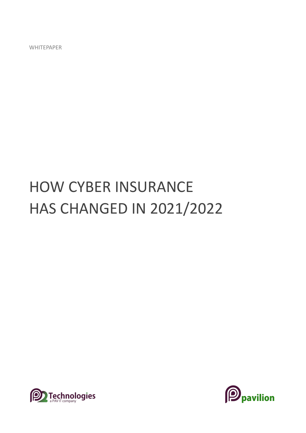# HOW CYBER INSURANCE HAS CHANGED IN 2021/2022



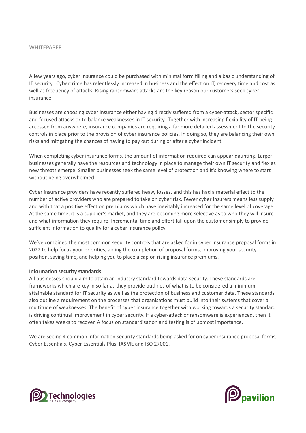A few years ago, cyber insurance could be purchased with minimal form filling and a basic understanding of IT security. Cybercrime has relentlessly increased in business and the effect on IT, recovery time and cost as well as frequency of attacks. Rising ransomware attacks are the key reason our customers seek cyber insurance.

Businesses are choosing cyber insurance either having directly suffered from a cyber-attack, sector specific and focused attacks or to balance weaknesses in IT security. Together with increasing flexibility of IT being accessed from anywhere, insurance companies are requiring a far more detailed assessment to the security controls in place prior to the provision of cyber insurance policies. In doing so, they are balancing their own risks and mitigating the chances of having to pay out during or after a cyber incident.

When completing cyber insurance forms, the amount of information required can appear daunting. Larger businesses generally have the resources and technology in place to manage their own IT security and flex as new threats emerge. Smaller businesses seek the same level of protection and it's knowing where to start without being overwhelmed.

Cyber insurance providers have recently suffered heavy losses, and this has had a material effect to the number of active providers who are prepared to take on cyber risk. Fewer cyber insurers means less supply and with that a positive effect on premiums which have inevitably increased for the same level of coverage. At the same time, it is a supplier's market, and they are becoming more selective as to who they will insure and what information they require. Incremental time and effort fall upon the customer simply to provide sufficient information to qualify for a cyber insurance policy.

We've combined the most common security controls that are asked for in cyber insurance proposal forms in 2022 to help focus your priorities, aiding the completion of proposal forms, improving your security position, saving time, and helping you to place a cap on rising insurance premiums.

## **Information security standards**

All businesses should aim to attain an industry standard towards data security. These standards are frameworks which are key in so far as they provide outlines of what is to be considered a minimum attainable standard for IT security as well as the protection of business and customer data. These standards also outline a requirement on the processes that organisations must build into their systems that cover a multitude of weaknesses. The benefit of cyber insurance together with working towards a security standard is driving continual improvement in cyber security. If a cyber-attack or ransomware is experienced, then it often takes weeks to recover. A focus on standardisation and testing is of upmost importance.

We are seeing 4 common information security standards being asked for on cyber insurance proposal forms, Cyber Essentials, Cyber Essentials Plus, IASME and ISO 27001.



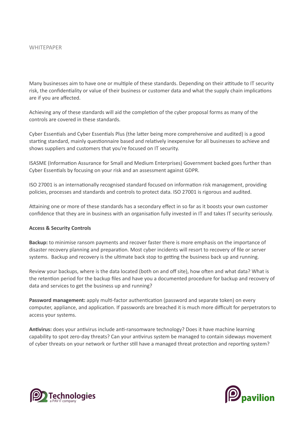Many businesses aim to have one or multiple of these standards. Depending on their attitude to IT security risk, the confidentiality or value of their business or customer data and what the supply chain implications are if you are affected.

Achieving any of these standards will aid the completion of the cyber proposal forms as many of the controls are covered in these standards.

Cyber Essentials and Cyber Essentials Plus (the latter being more comprehensive and audited) is a good starting standard, mainly questionnaire based and relatively inexpensive for all businesses to achieve and shows suppliers and customers that you're focused on IT security.

ISASME (Information Assurance for Small and Medium Enterprises) Government backed goes further than Cyber Essentials by focusing on your risk and an assessment against GDPR.

ISO 27001 is an internationally recognised standard focused on information risk management, providing policies, processes and standards and controls to protect data. ISO 27001 is rigorous and audited.

Attaining one or more of these standards has a secondary effect in so far as it boosts your own customer confidence that they are in business with an organisation fully invested in IT and takes IT security seriously.

#### **Access & Security Controls**

**Backup:** to minimise ransom payments and recover faster there is more emphasis on the importance of disaster recovery planning and preparation. Most cyber incidents will resort to recovery of file or server systems. Backup and recovery is the ultimate back stop to getting the business back up and running.

Review your backups, where is the data located (both on and off site), how often and what data? What is the retention period for the backup files and have you a documented procedure for backup and recovery of data and services to get the business up and running?

**Password management:** apply multi-factor authentication (password and separate token) on every computer, appliance, and application. If passwords are breached it is much more difficult for perpetrators to access your systems.

**Antivirus:** does your antivirus include anti-ransomware technology? Does it have machine learning capability to spot zero-day threats? Can your antivirus system be managed to contain sideways movement of cyber threats on your network or further still have a managed threat protection and reporting system?



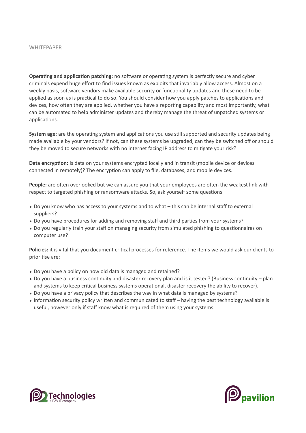**Operating and application patching:** no software or operating system is perfectly secure and cyber criminals expend huge effort to find issues known as exploits that invariably allow access. Almost on a weekly basis, software vendors make available security or functionality updates and these need to be applied as soon as is practical to do so. You should consider how you apply patches to applications and devices, how often they are applied, whether you have a reporting capability and most importantly, what can be automated to help administer updates and thereby manage the threat of unpatched systems or applications.

**System age:** are the operating system and applications you use still supported and security updates being made available by your vendors? If not, can these systems be upgraded, can they be switched off or should they be moved to secure networks with no internet facing IP address to mitigate your risk?

**Data encryption:** Is data on your systems encrypted locally and in transit (mobile device or devices connected in remotely)? The encryption can apply to file, databases, and mobile devices.

**People:** are often overlooked but we can assure you that your employees are often the weakest link with respect to targeted phishing or ransomware attacks. So, ask yourself some questions:

- Do you know who has access to your systems and to what this can be internal staff to external suppliers?
- Do you have procedures for adding and removing staff and third parties from your systems?
- Do you regularly train your staff on managing security from simulated phishing to questionnaires on computer use?

**Policies:** it is vital that you document critical processes for reference. The items we would ask our clients to prioritise are:

- Do you have a policy on how old data is managed and retained?
- Do you have a business continuity and disaster recovery plan and is it tested? (Business continuity plan and systems to keep critical business systems operational, disaster recovery the ability to recover).
- Do you have a privacy policy that describes the way in what data is managed by systems?
- Information security policy written and communicated to staff having the best technology available is useful, however only if staff know what is required of them using your systems.